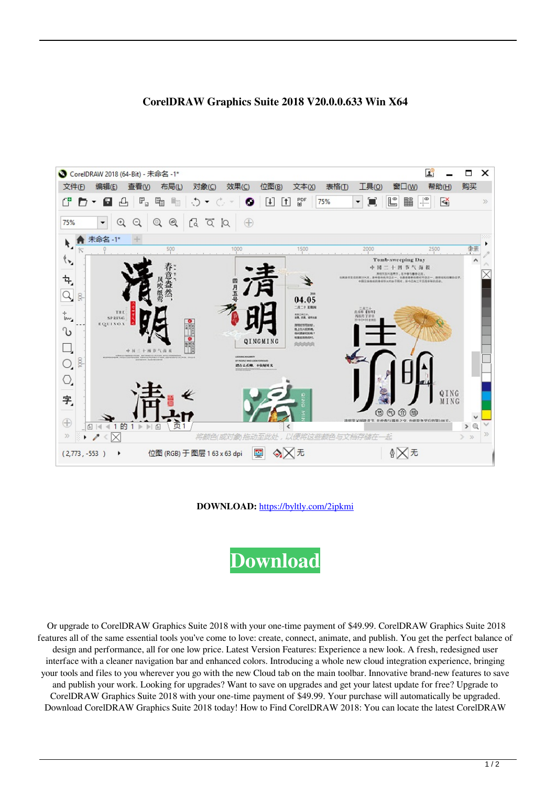

## **CorelDRAW Graphics Suite 2018 V20.0.0.633 Win X64**

**DOWNLOAD:** <https://byltly.com/2ipkmi>

**[Download](https://byltly.com/2ipkmi)**

 Or upgrade to CorelDRAW Graphics Suite 2018 with your one-time payment of \$49.99. CorelDRAW Graphics Suite 2018 features all of the same essential tools you've come to love: create, connect, animate, and publish. You get the perfect balance of design and performance, all for one low price. Latest Version Features: Experience a new look. A fresh, redesigned user interface with a cleaner navigation bar and enhanced colors. Introducing a whole new cloud integration experience, bringing your tools and files to you wherever you go with the new Cloud tab on the main toolbar. Innovative brand-new features to save and publish your work. Looking for upgrades? Want to save on upgrades and get your latest update for free? Upgrade to CorelDRAW Graphics Suite 2018 with your one-time payment of \$49.99. Your purchase will automatically be upgraded. Download CorelDRAW Graphics Suite 2018 today! How to Find CorelDRAW 2018: You can locate the latest CorelDRAW